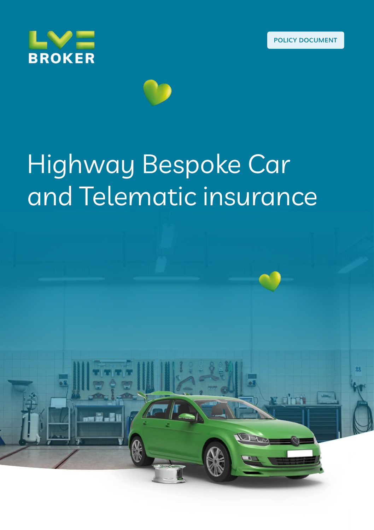x dri





# Highway Bespoke Car and Telematic insurance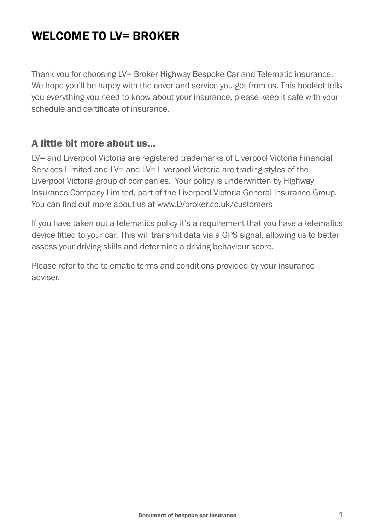# WELCOME TO IV= BROKER

Thank you for choosing LV= Broker Highway Bespoke Car and Telematic insurance. We hope you'll be happy with the cover and service you get from us. This booklet tells you everything you need to know about your insurance, please keep it safe with your schedule and certificate of insurance.

#### A little bit more about us…

LV= and Liverpool Victoria are registered trademarks of Liverpool Victoria Financial Services Limited and LV= and LV= Liverpool Victoria are trading styles of the Liverpool Victoria group of companies. Your policy is underwritten by Highway Insurance Company Limited, part of the Liverpool Victoria General Insurance Group. You can find out more about us at www.LVbroker.co.uk/customers

If you have taken out a telematics policy it's a requirement that you have a telematics device fitted to your car. This will transmit data via a GPS signal, allowing us to better assess your driving skills and determine a driving behaviour score.

Please refer to the telematic terms and conditions provided by your insurance adviser.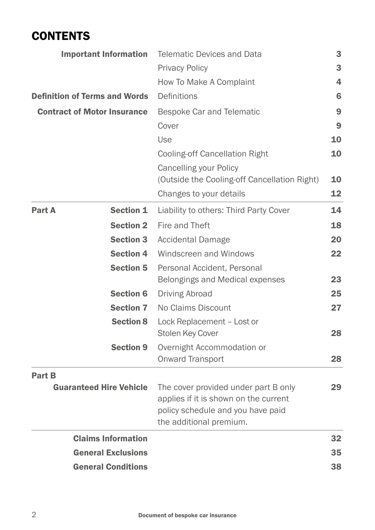### **CONTENTS**

| <b>Important Information</b>         |                                | <b>Telematic Devices and Data</b>                                                                                                             |    |
|--------------------------------------|--------------------------------|-----------------------------------------------------------------------------------------------------------------------------------------------|----|
|                                      |                                | <b>Privacy Policy</b>                                                                                                                         | 3  |
|                                      |                                | How To Make A Complaint                                                                                                                       | 4  |
| <b>Definition of Terms and Words</b> |                                | Definitions                                                                                                                                   | 6  |
| <b>Contract of Motor Insurance</b>   |                                | Bespoke Car and Telematic                                                                                                                     |    |
|                                      |                                | Cover                                                                                                                                         | 9  |
|                                      |                                | Use                                                                                                                                           | 10 |
|                                      |                                | <b>Cooling-off Cancellation Right</b>                                                                                                         | 10 |
|                                      |                                | Cancelling your Policy<br>(Outside the Cooling-off Cancellation Right)                                                                        | 10 |
|                                      |                                | Changes to your details                                                                                                                       | 12 |
| Part A                               | <b>Section 1</b>               | Liability to others: Third Party Cover                                                                                                        | 14 |
|                                      | <b>Section 2</b>               | Fire and Theft                                                                                                                                | 18 |
|                                      | <b>Section 3</b>               | <b>Accidental Damage</b>                                                                                                                      | 20 |
|                                      | <b>Section 4</b>               | Windscreen and Windows                                                                                                                        | 22 |
|                                      | <b>Section 5</b>               | Personal Accident, Personal<br>Belongings and Medical expenses                                                                                | 23 |
|                                      | <b>Section 6</b>               | <b>Driving Abroad</b>                                                                                                                         | 25 |
|                                      | <b>Section 7</b>               | No Claims Discount                                                                                                                            | 27 |
|                                      | <b>Section 8</b>               | Lock Replacement - Lost or<br>Stolen Key Cover                                                                                                | 28 |
|                                      | <b>Section 9</b>               | Overnight Accommodation or<br>Onward Transport                                                                                                | 28 |
| Part B                               |                                |                                                                                                                                               |    |
|                                      | <b>Guaranteed Hire Vehicle</b> | The cover provided under part B only<br>applies if it is shown on the current<br>policy schedule and you have paid<br>the additional premium. | 29 |
| <b>Claims Information</b>            |                                |                                                                                                                                               | 32 |
|                                      | <b>General Exclusions</b>      |                                                                                                                                               | 35 |
| <b>General Conditions</b>            |                                |                                                                                                                                               |    |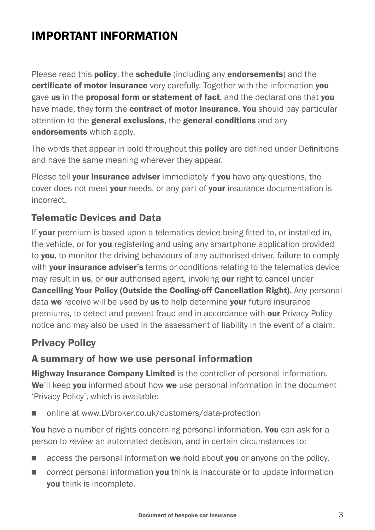# IMPORTANT INFORMATION

Please read this **policy**, the **schedule** (including any **endorsements**) and the certificate of motor insurance very carefully. Together with the information vou gave us in the proposal form or statement of fact, and the declarations that you have made, they form the **contract of motor insurance. You** should pay particular attention to the **general exclusions**, the **general conditions** and any endorsements which apply.

The words that appear in bold throughout this **policy** are defined under Definitions and have the same meaning wherever they appear.

Please tell **your insurance adviser** immediately if **you** have any questions, the cover does not meet your needs, or any part of your insurance documentation is incorrect.

### Telematic Devices and Data

If your premium is based upon a telematics device being fitted to, or installed in, the vehicle, or for you registering and using any smartphone application provided to **you**, to monitor the driving behaviours of any authorised driver, failure to comply with your insurance adviser's terms or conditions relating to the telematics device may result in us, or our authorised agent, invoking our right to cancel under Cancelling Your Policy (Outside the Cooling-off Cancellation Right). Any personal data we receive will be used by us to help determine your future insurance premiums, to detect and prevent fraud and in accordance with our Privacy Policy notice and may also be used in the assessment of liability in the event of a claim.

### Privacy Policy

#### A summary of how we use personal information

Highway Insurance Company Limited is the controller of personal information. We'll keep you informed about how we use personal information in the document 'Privacy Policy', which is available:

■ online at www.LVbroker.co.uk/customers/data-protection

You have a number of rights concerning personal information. You can ask for a person to *review* an automated decision, and in certain circumstances to:

- **n** *access* the personal information **we** hold about **you** or anyone on the policy.
- *correct* personal information **you** think is inaccurate or to update information you think is incomplete.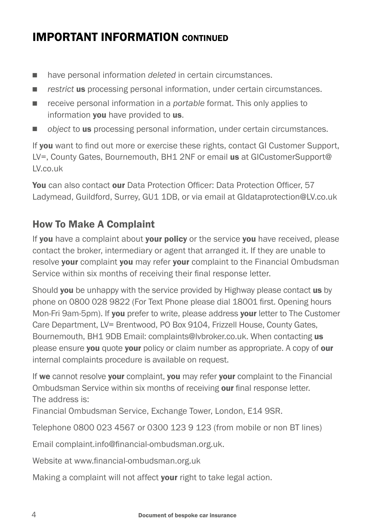# IMPORTANT INFORMATION CONTINUED

- have personal information *deleted* in certain circumstances.
- **n** *restrict* us processing personal information, under certain circumstances.
- receive personal information in a *portable* format. This only applies to information you have provided to us.
- **n** *object* to **us** processing personal information, under certain circumstances.

If you want to find out more or exercise these rights, contact GI Customer Support, LV=, County Gates, Bournemouth, BH1 2NF or email us at GICustomerSupport@ LV.co.uk

You can also contact our Data Protection Officer: Data Protection Officer, 57 Ladymead, Guildford, Surrey, GU1 1DB, or via email at GIdataprotection@LV.co.uk

### How To Make A Complaint

If you have a complaint about your policy or the service you have received, please contact the broker, intermediary or agent that arranged it. If they are unable to resolve your complaint you may refer your complaint to the Financial Ombudsman Service within six months of receiving their final response letter.

Should **you** be unhappy with the service provided by Highway please contact **us** by phone on 0800 028 9822 (For Text Phone please dial 18001 first. Opening hours Mon-Fri 9am-5pm). If you prefer to write, please address your letter to The Customer Care Department, LV= Brentwood, PO Box 9104, Frizzell House, County Gates, Bournemouth, BH1 9DB Email: complaints@lvbroker.co.uk. When contacting us please ensure you quote your policy or claim number as appropriate. A copy of our internal complaints procedure is available on request.

If we cannot resolve your complaint, you may refer your complaint to the Financial Ombudsman Service within six months of receiving our final response letter. The address is:

Financial Ombudsman Service, Exchange Tower, London, E14 9SR.

Telephone 0800 023 4567 or 0300 123 9 123 (from mobile or non BT lines)

Email complaint.info@financial-ombudsman.org.uk.

Website at www.financial-ombudsman.org.uk

Making a complaint will not affect your right to take legal action.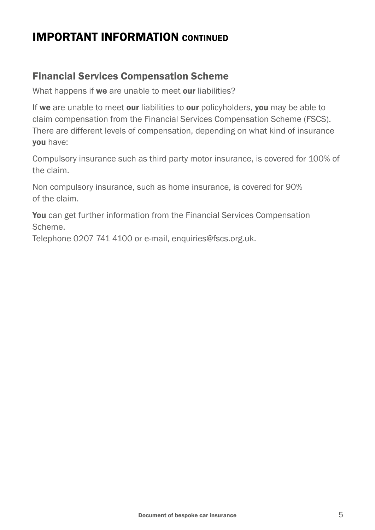### IMPORTANT INFORMATION CONTINUED

### Financial Services Compensation Scheme

What happens if we are unable to meet our liabilities?

If we are unable to meet our liabilities to our policyholders, you may be able to claim compensation from the Financial Services Compensation Scheme (FSCS). There are different levels of compensation, depending on what kind of insurance you have:

Compulsory insurance such as third party motor insurance, is covered for 100% of the claim.

Non compulsory insurance, such as home insurance, is covered for 90% of the claim.

You can get further information from the Financial Services Compensation Scheme.

Telephone 0207 741 4100 or e-mail, enquiries@fscs.org.uk.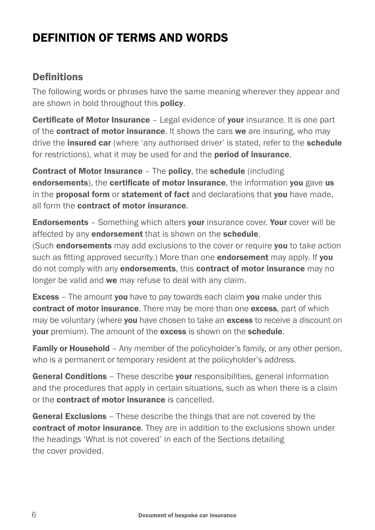# DEFINITION OF TERMS AND WORDS

### **Definitions**

The following words or phrases have the same meaning wherever they appear and are shown in bold throughout this **policy**.

**Certificate of Motor Insurance - Legal evidence of your insurance. It is one part** of the **contract of motor insurance**. It shows the cars we are insuring, who may drive the **insured car** (where 'any authorised driver' is stated, refer to the **schedule** for restrictions), what it may be used for and the **period of insurance**.

Contract of Motor Insurance – The policy, the schedule (including endorsements), the certificate of motor insurance, the information you gave us in the **proposal form** or **statement of fact** and declarations that you have made. all form the contract of motor insurance.

**Endorsements** – Something which alters **your** insurance cover. Your cover will be affected by any **endorsement** that is shown on the **schedule**.

(Such **endorsements** may add exclusions to the cover or require you to take action such as fitting approved security.) More than one **endorsement** may apply. If you do not comply with any **endorsements**, this **contract of motor insurance** may no longer be valid and we may refuse to deal with any claim.

**Excess** – The amount you have to pay towards each claim you make under this contract of motor insurance. There may be more than one excess, part of which may be voluntary (where you have chosen to take an excess to receive a discount on **vour** premium). The amount of the **excess** is shown on the **schedule**.

**Family or Household** – Any member of the policyholder's family, or any other person, who is a permanent or temporary resident at the policyholder's address.

General Conditions - These describe your responsibilities, general information and the procedures that apply in certain situations, such as when there is a claim or the contract of motor insurance is cancelled.

General Exclusions - These describe the things that are not covered by the contract of motor insurance. They are in addition to the exclusions shown under the headings 'What is not covered' in each of the Sections detailing the cover provided.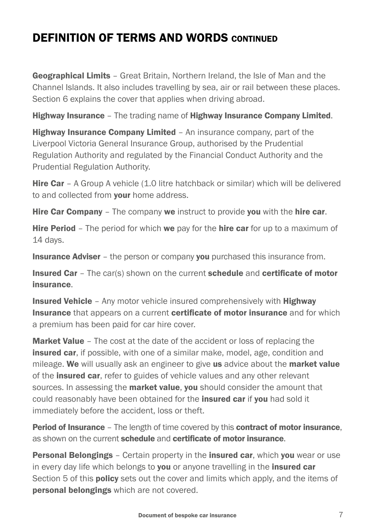### DEFINITION OF TERMS AND WORDS CONTINUED

Geographical Limits - Great Britain, Northern Ireland, the Isle of Man and the Channel Islands. It also includes travelling by sea, air or rail between these places. Section 6 explains the cover that applies when driving abroad.

Highway Insurance – The trading name of Highway Insurance Company Limited.

**Highway Insurance Company Limited - An insurance company, part of the** Liverpool Victoria General Insurance Group, authorised by the Prudential Regulation Authority and regulated by the Financial Conduct Authority and the Prudential Regulation Authority.

Hire Car – A Group A vehicle (1.0 litre hatchback or similar) which will be delivered to and collected from your home address.

**Hire Car Company –** The company we instruct to provide you with the **hire car.** 

**Hire Period** – The period for which we pay for the **hire car** for up to a maximum of 14 days.

**Insurance Adviser** – the person or company you purchased this insurance from.

Insured Car – The car(s) shown on the current schedule and certificate of motor insurance.

**Insured Vehicle** - Any motor vehicle insured comprehensively with **Highway** Insurance that appears on a current certificate of motor insurance and for which a premium has been paid for car hire cover.

**Market Value** – The cost at the date of the accident or loss of replacing the **insured car**, if possible, with one of a similar make, model, age, condition and mileage. We will usually ask an engineer to give us advice about the market value of the **insured car**, refer to guides of vehicle values and any other relevant sources. In assessing the **market value, you** should consider the amount that could reasonably have been obtained for the **insured car** if you had sold it immediately before the accident, loss or theft.

**Period of Insurance** – The length of time covered by this **contract of motor insurance**, as shown on the current **schedule** and **certificate of motor insurance**.

**Personal Belongings** – Certain property in the **insured car**, which you wear or use in every day life which belongs to you or anyone travelling in the insured car Section 5 of this **policy** sets out the cover and limits which apply, and the items of **personal belongings** which are not covered.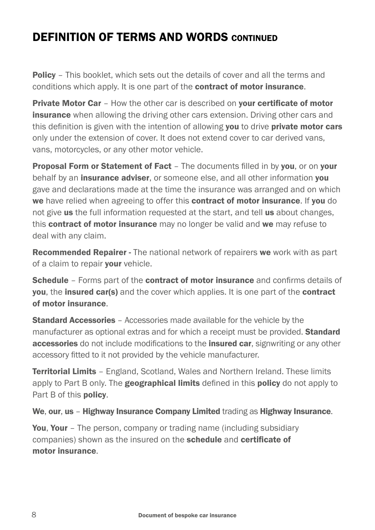# DEFINITION OF TERMS AND WORDS CONTINUED

**Policy** – This booklet, which sets out the details of cover and all the terms and conditions which apply. It is one part of the contract of motor insurance.

**Private Motor Car** - How the other car is described on your certificate of motor **insurance** when allowing the driving other cars extension. Driving other cars and this definition is given with the intention of allowing you to drive private motor cars only under the extension of cover. It does not extend cover to car derived vans, vans, motorcycles, or any other motor vehicle.

**Proposal Form or Statement of Fact - The documents filled in by you, or on your** behalf by an **insurance adviser**, or someone else, and all other information **you** gave and declarations made at the time the insurance was arranged and on which we have relied when agreeing to offer this contract of motor insurance. If you do not give us the full information requested at the start, and tell us about changes, this **contract of motor insurance** may no longer be valid and we may refuse to deal with any claim.

**Recommended Repairer -** The national network of repairers we work with as part of a claim to repair **vour** vehicle.

Schedule - Forms part of the contract of motor insurance and confirms details of you, the insured car(s) and the cover which applies. It is one part of the contract of motor insurance.

**Standard Accessories** - Accessories made available for the vehicle by the manufacturer as optional extras and for which a receipt must be provided. **Standard** accessories do not include modifications to the insured car, signwriting or any other accessory fitted to it not provided by the vehicle manufacturer.

Territorial Limits - England, Scotland, Wales and Northern Ireland. These limits apply to Part B only. The **geographical limits** defined in this **policy** do not apply to Part B of this **policy**.

We, our, us – Highway Insurance Company Limited trading as Highway Insurance.

You, Your - The person, company or trading name (including subsidiary companies) shown as the insured on the schedule and certificate of motor insurance.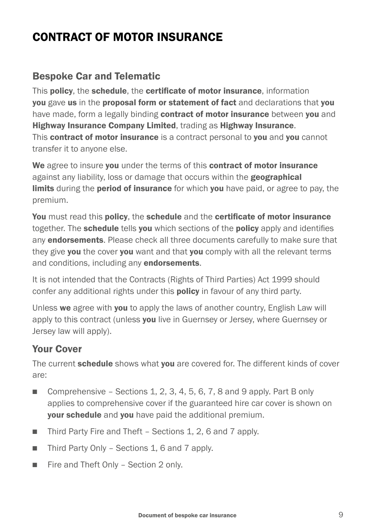# CONTRACT OF MOTOR INSURANCE

#### Bespoke Car and Telematic

This policy, the schedule, the certificate of motor insurance, information you gave us in the proposal form or statement of fact and declarations that you have made, form a legally binding contract of motor insurance between you and Highway Insurance Company Limited, trading as Highway Insurance. This contract of motor insurance is a contract personal to you and you cannot transfer it to anyone else.

We agree to insure you under the terms of this contract of motor insurance against any liability, loss or damage that occurs within the geographical limits during the **period of insurance** for which you have paid, or agree to pay, the premium.

You must read this policy, the schedule and the certificate of motor insurance together. The schedule tells you which sections of the policy apply and identifies any **endorsements**. Please check all three documents carefully to make sure that they give you the cover you want and that you comply with all the relevant terms and conditions, including any **endorsements**.

It is not intended that the Contracts (Rights of Third Parties) Act 1999 should confer any additional rights under this **policy** in favour of any third party.

Unless we agree with you to apply the laws of another country, English Law will apply to this contract (unless you live in Guernsey or Jersey, where Guernsey or Jersey law will apply).

### Your Cover

The current **schedule** shows what you are covered for. The different kinds of cover are:

- **Comprehensive Sections 1, 2, 3, 4, 5, 6, 7, 8 and 9 apply. Part B only** applies to comprehensive cover if the guaranteed hire car cover is shown on **your schedule** and you have paid the additional premium.
- Third Party Fire and Theft Sections 1, 2, 6 and 7 apply.
- $\blacksquare$  Third Party Only Sections 1, 6 and 7 apply.
- $\blacksquare$  Fire and Theft Only Section 2 only.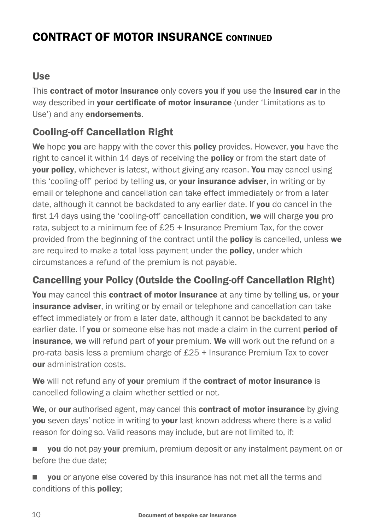#### Use

This contract of motor insurance only covers you if you use the insured car in the way described in your certificate of motor insurance (under 'Limitations as to Use') and any **endorsements**.

### Cooling-off Cancellation Right

We hope you are happy with the cover this policy provides. However, you have the right to cancel it within 14 days of receiving the **policy** or from the start date of your policy, whichever is latest, without giving any reason. You may cancel using this 'cooling-off' period by telling us, or your insurance adviser, in writing or by email or telephone and cancellation can take effect immediately or from a later date, although it cannot be backdated to any earlier date. If you do cancel in the first 14 days using the 'cooling-off' cancellation condition, we will charge you pro rata, subject to a minimum fee of £25 + Insurance Premium Tax, for the cover provided from the beginning of the contract until the **policy** is cancelled, unless we are required to make a total loss payment under the **policy**, under which circumstances a refund of the premium is not payable.

### Cancelling your Policy (Outside the Cooling-off Cancellation Right)

You may cancel this contract of motor insurance at any time by telling us, or your **insurance adviser**, in writing or by email or telephone and cancellation can take effect immediately or from a later date, although it cannot be backdated to any earlier date. If you or someone else has not made a claim in the current period of **insurance, we** will refund part of **your** premium. We will work out the refund on a pro-rata basis less a premium charge of £25 + Insurance Premium Tax to cover our administration costs.

We will not refund any of your premium if the contract of motor insurance is cancelled following a claim whether settled or not.

We, or our authorised agent, may cancel this **contract of motor insurance** by giving you seven days' notice in writing to your last known address where there is a valid reason for doing so. Valid reasons may include, but are not limited to, if:

**you** do not pay **your** premium, premium deposit or any instalment payment on or before the due date;

**you** or anyone else covered by this insurance has not met all the terms and conditions of this policy;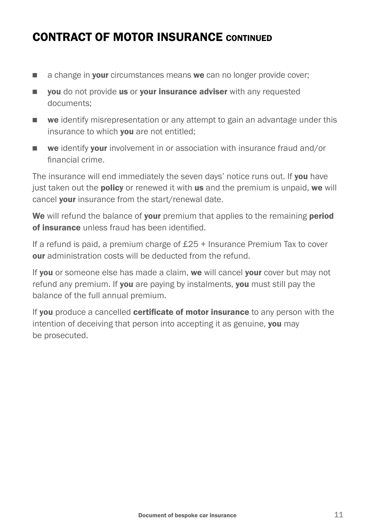- $\Box$  a change in **your** circumstances means we can no longer provide cover;
- vou do not provide us or your insurance adviser with any requested documents;
- **n** we identify misrepresentation or any attempt to gain an advantage under this insurance to which **you** are not entitled:
- **n we identify your involvement in or association with insurance fraud and/or** financial crime.

The insurance will end immediately the seven days' notice runs out. If you have just taken out the **policy** or renewed it with us and the premium is unpaid, we will cancel **your** insurance from the start/renewal date.

We will refund the balance of your premium that applies to the remaining period of insurance unless fraud has been identified.

If a refund is paid, a premium charge of £25 + Insurance Premium Tax to cover our administration costs will be deducted from the refund.

If you or someone else has made a claim, we will cancel your cover but may not refund any premium. If you are paying by instalments, you must still pay the balance of the full annual premium.

If you produce a cancelled certificate of motor insurance to any person with the intention of deceiving that person into accepting it as genuine, you may be prosecuted.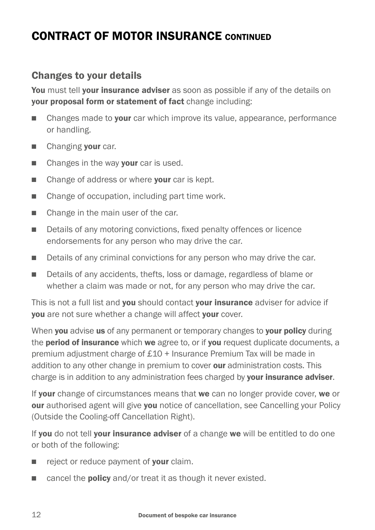### Changes to your details

You must tell vour insurance adviser as soon as possible if any of the details on your proposal form or statement of fact change including:

- **n** Changes made to **your** car which improve its value, appearance, performance or handling.
- **n** Changing your car.
- $\blacksquare$  Changes in the way **your** car is used.
- $\blacksquare$  Change of address or where your car is kept.
- $\blacksquare$  Change of occupation, including part time work.
- $\blacksquare$  Change in the main user of the car.
- Details of any motoring convictions, fixed penalty offences or licence endorsements for any person who may drive the car.
- Details of any criminal convictions for any person who may drive the car.
- Details of any accidents, thefts, loss or damage, regardless of blame or whether a claim was made or not, for any person who may drive the car.

This is not a full list and you should contact your insurance adviser for advice if you are not sure whether a change will affect your cover.

When you advise us of any permanent or temporary changes to your policy during the **period of insurance** which we agree to, or if you request duplicate documents, a premium adjustment charge of £10 + Insurance Premium Tax will be made in addition to any other change in premium to cover our administration costs. This charge is in addition to any administration fees charged by your insurance adviser.

If your change of circumstances means that we can no longer provide cover, we or **our** authorised agent will give **you** notice of cancellation, see Cancelling your Policy (Outside the Cooling-off Cancellation Right).

If you do not tell your insurance adviser of a change we will be entitled to do one or both of the following:

- $\blacksquare$  reject or reduce payment of **your** claim.
- cancel the **policy** and/or treat it as though it never existed.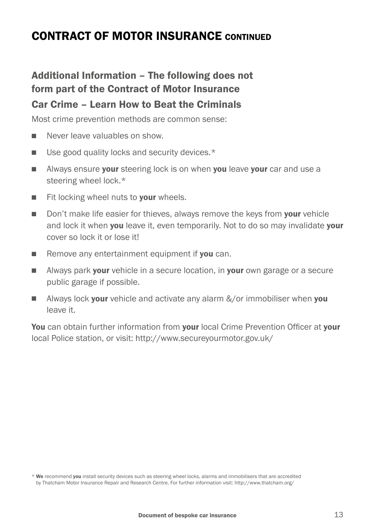### Additional Information – The following does not form part of the Contract of Motor Insurance Car Crime – Learn How to Beat the Criminals

Most crime prevention methods are common sense:

- Never leave valuables on show
- $\blacksquare$  Use good quality locks and security devices.\*
- **Notable Always ensure your steering lock is on when you leave your car and use a** steering wheel lock.\*
- $\blacksquare$  Fit locking wheel nuts to your wheels.
- Don't make life easier for thieves, always remove the keys from your vehicle and lock it when **you** leave it, even temporarily. Not to do so may invalidate **your** cover so lock it or lose it!
- $\blacksquare$  Remove any entertainment equipment if you can.
- **Nimi** Always park **your** vehicle in a secure location, in **your** own garage or a secure public garage if possible.
- **Now** Always lock **your** vehicle and activate any alarm  $\&\sqrt{$ or immobiliser when **you** leave it.

You can obtain further information from your local Crime Prevention Officer at your local Police station, or visit: http://www.secureyourmotor.gov.uk/

<sup>\*</sup> We recommend you install security devices such as steering wheel locks, alarms and immobilisers that are accredited by Thatcham Motor Insurance Repair and Research Centre. For further information visit: http://www.thatcham.org/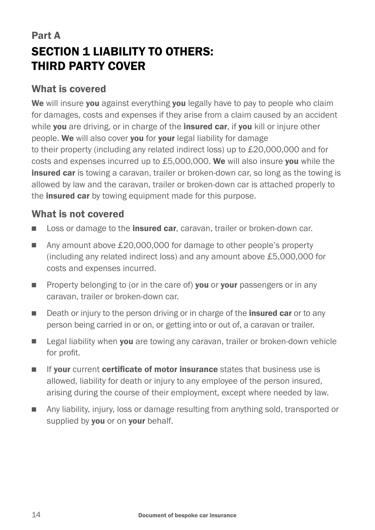# Part A SECTION 1 LIABILITY TO OTHERS: THIRD PARTY COVER

#### What is covered

We will insure you against everything you legally have to pay to people who claim for damages, costs and expenses if they arise from a claim caused by an accident while you are driving, or in charge of the insured car, if you kill or injure other people. We will also cover you for your legal liability for damage to their property (including any related indirect loss) up to £20,000,000 and for costs and expenses incurred up to £5,000,000. We will also insure you while the **insured car** is towing a caravan, trailer or broken-down car, so long as the towing is allowed by law and the caravan, trailer or broken-down car is attached properly to the **insured car** by towing equipment made for this purpose.

#### What is not covered

- **n** Loss or damage to the **insured car**, caravan, trailer or broken-down car.
- Any amount above £20,000,000 for damage to other people's property (including any related indirect loss) and any amount above £5,000,000 for costs and expenses incurred.
- **n** Property belonging to (or in the care of) **you** or **your** passengers or in any caravan, trailer or broken-down car.
- Death or injury to the person driving or in charge of the **insured car** or to any person being carried in or on, or getting into or out of, a caravan or trailer.
- **Example 20** Legal liability when you are towing any caravan, trailer or broken-down vehicle for profit.
- **n** If your current certificate of motor insurance states that business use is allowed, liability for death or injury to any employee of the person insured, arising during the course of their employment, except where needed by law.
- n Any liability, injury, loss or damage resulting from anything sold, transported or supplied by you or on your behalf.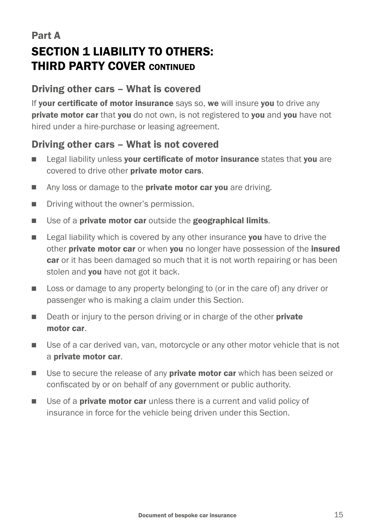### Part A SECTION 1 LIABILITY TO OTHERS: THIRD PARTY COVER CONTINUED

#### Driving other cars – What is covered

If your certificate of motor insurance says so, we will insure you to drive any private motor car that you do not own, is not registered to you and you have not hired under a hire-purchase or leasing agreement.

#### Driving other cars – What is not covered

- **Example 2** Legal liability unless your certificate of motor insurance states that you are covered to drive other **private motor cars**.
- Any loss or damage to the **private motor car you** are driving.
- **n** Driving without the owner's permission.
- $\blacksquare$  Use of a private motor car outside the geographical limits.
- **Example 2** Legal liability which is covered by any other insurance you have to drive the other private motor car or when you no longer have possession of the insured car or it has been damaged so much that it is not worth repairing or has been stolen and you have not got it back.
- **n** Loss or damage to any property belonging to (or in the care of) any driver or passenger who is making a claim under this Section.
- Death or injury to the person driving or in charge of the other **private** motor car.
- **n** Use of a car derived van, van, motorcycle or any other motor vehicle that is not a private motor car.
- **IDED** Use to secure the release of any **private motor car** which has been seized or confiscated by or on behalf of any government or public authority.
- **Notable 1** Use of a **private motor car** unless there is a current and valid policy of insurance in force for the vehicle being driven under this Section.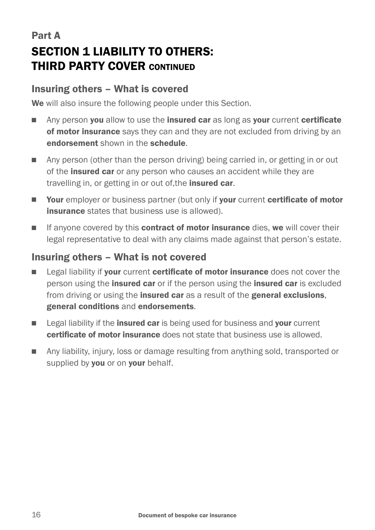# Part A SECTION 1 LIABILITY TO OTHERS: THIRD PARTY COVER CONTINUED

#### Insuring others – What is covered

We will also insure the following people under this Section.

- n Any person you allow to use the insured car as long as your current certificate of motor insurance says they can and they are not excluded from driving by an endorsement shown in the schedule.
- **n** Any person (other than the person driving) being carried in, or getting in or out of the **insured car** or any person who causes an accident while they are travelling in, or getting in or out of, the *insured car.*
- **Nour** employer or business partner (but only if your current certificate of motor **insurance** states that business use is allowed).
- **n** If anyone covered by this **contract of motor insurance** dies, we will cover their legal representative to deal with any claims made against that person's estate.

#### Insuring others – What is not covered

- **Example 2** Legal liability if your current certificate of motor insurance does not cover the person using the **insured car** or if the person using the **insured car** is excluded from driving or using the **insured car** as a result of the **general exclusions**. general conditions and endorsements.
- Eumer Legal liability if the insured car is being used for business and your current certificate of motor insurance does not state that business use is allowed.
- **n** Any liability, injury, loss or damage resulting from anything sold, transported or supplied by you or on your behalf.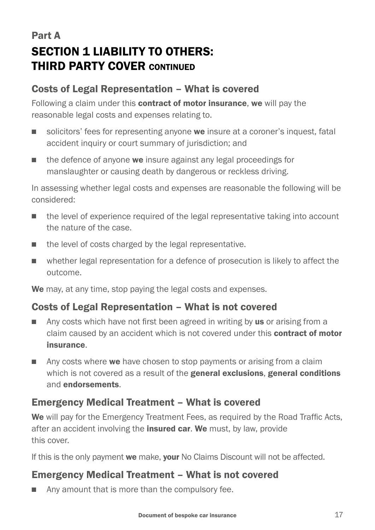## Part A SECTION 1 LIABILITY TO OTHERS: THIRD PARTY COVER CONTINUED

#### Costs of Legal Representation – What is covered

Following a claim under this **contract of motor insurance, we** will pay the reasonable legal costs and expenses relating to.

- solicitors' fees for representing anyone we insure at a coroner's inquest, fatal accident inquiry or court summary of jurisdiction; and
- $\blacksquare$  the defence of anyone we insure against any legal proceedings for manslaughter or causing death by dangerous or reckless driving.

In assessing whether legal costs and expenses are reasonable the following will be considered:

- $\blacksquare$  the level of experience required of the legal representative taking into account the nature of the case.
- $\blacksquare$  the level of costs charged by the legal representative.
- n whether legal representation for a defence of prosecution is likely to affect the outcome.

We may, at any time, stop paying the legal costs and expenses.

#### Costs of Legal Representation – What is not covered

- $\Box$  Any costs which have not first been agreed in writing by us or arising from a claim caused by an accident which is not covered under this **contract of motor** insurance.
- **n** Any costs where we have chosen to stop payments or arising from a claim which is not covered as a result of the **general exclusions, general conditions** and endorsements.

### Emergency Medical Treatment – What is covered

We will pay for the Emergency Treatment Fees, as required by the Road Traffic Acts, after an accident involving the *insured car.* We must, by law, provide this cover.

If this is the only payment we make, your No Claims Discount will not be affected.

### Emergency Medical Treatment – What is not covered

 $\blacksquare$  Any amount that is more than the compulsory fee.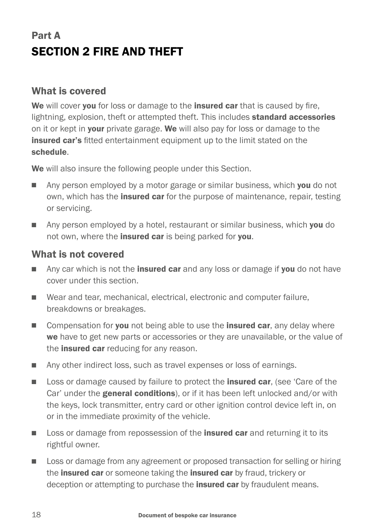# Part A SECTION 2 FIRE AND THEFT

#### What is covered

We will cover you for loss or damage to the **insured car** that is caused by fire, lightning, explosion, theft or attempted theft. This includes **standard accessories** on it or kept in your private garage. We will also pay for loss or damage to the insured car's fitted entertainment equipment up to the limit stated on the schedule.

We will also insure the following people under this Section.

- n Any person employed by a motor garage or similar business, which you do not own, which has the *insured car* for the purpose of maintenance, repair, testing or servicing.
- $\Box$  Any person employed by a hotel, restaurant or similar business, which you do not own, where the **insured car** is being parked for you.

#### What is not covered

- $\Box$  Any car which is not the **insured car** and any loss or damage if **you** do not have cover under this section.
- Wear and tear, mechanical, electrical, electronic and computer failure, breakdowns or breakages.
- Compensation for you not being able to use the insured car, any delay where we have to get new parts or accessories or they are unavailable, or the value of the **insured car** reducing for any reason.
- Any other indirect loss, such as travel expenses or loss of earnings.
- **n** Loss or damage caused by failure to protect the **insured car**, (see 'Care of the Car' under the **general conditions**), or if it has been left unlocked and/or with the keys, lock transmitter, entry card or other ignition control device left in, on or in the immediate proximity of the vehicle.
- **n** Loss or damage from repossession of the **insured car** and returning it to its rightful owner.
- **n** Loss or damage from any agreement or proposed transaction for selling or hiring the insured car or someone taking the insured car by fraud, trickery or deception or attempting to purchase the **insured car** by fraudulent means.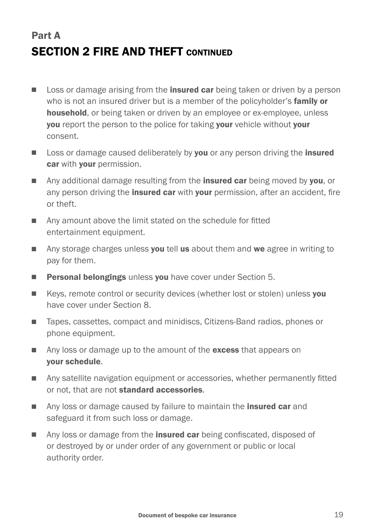# Part A SECTION 2 FIRE AND THEFT CONTINUED

- **n** Loss or damage arising from the **insured car** being taken or driven by a person who is not an insured driver but is a member of the policyholder's **family or** household, or being taken or driven by an employee or ex-employee, unless you report the person to the police for taking your vehicle without your consent.
- **n** Loss or damage caused deliberately by you or any person driving the insured car with **your** permission.
- **n** Any additional damage resulting from the **insured car** being moved by you, or any person driving the *insured car* with your permission, after an accident, fire or theft.
- Any amount above the limit stated on the schedule for fitted entertainment equipment.
- $\blacksquare$  Any storage charges unless you tell us about them and we agree in writing to pay for them.
- **Personal belongings** unless **you** have cover under Section 5.
- Keys, remote control or security devices (whether lost or stolen) unless you have cover under Section 8.
- Tapes, cassettes, compact and minidiscs, Citizens-Band radios, phones or phone equipment.
- Any loss or damage up to the amount of the excess that appears on your schedule.
- n Any satellite navigation equipment or accessories, whether permanently fitted or not, that are not standard accessories.
- **n** Any loss or damage caused by failure to maintain the **insured car** and safeguard it from such loss or damage.
- Any loss or damage from the **insured car** being confiscated, disposed of or destroyed by or under order of any government or public or local authority order.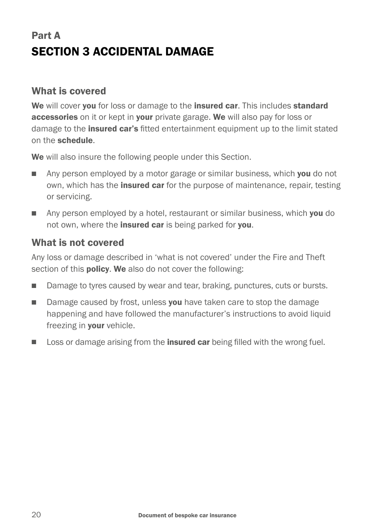# Part A SECTION 3 ACCIDENTAL DAMAGE

#### What is covered

We will cover you for loss or damage to the insured car. This includes standard accessories on it or kept in your private garage. We will also pay for loss or damage to the **insured car's** fitted entertainment equipment up to the limit stated on the schedule.

We will also insure the following people under this Section.

- **n** Any person employed by a motor garage or similar business, which **you** do not own, which has the **insured car** for the purpose of maintenance, repair, testing or servicing.
- n Any person employed by a hotel, restaurant or similar business, which you do not own, where the **insured car** is being parked for **you**.

#### What is not covered

Any loss or damage described in 'what is not covered' under the Fire and Theft section of this **policy. We** also do not cover the following:

- **n** Damage to tyres caused by wear and tear, braking, punctures, cuts or bursts.
- Damage caused by frost, unless you have taken care to stop the damage happening and have followed the manufacturer's instructions to avoid liquid freezing in **your** vehicle.
- **n** Loss or damage arising from the **insured car** being filled with the wrong fuel.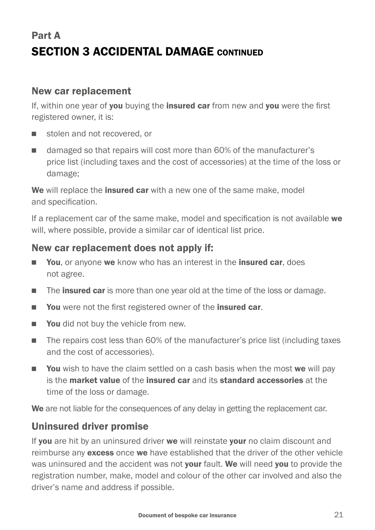# Part A SECTION 3 ACCIDENTAL DAMAGE CONTINUED

#### New car replacement

If, within one year of you buying the insured car from new and you were the first registered owner, it is:

- stolen and not recovered, or
- damaged so that repairs will cost more than 60% of the manufacturer's price list (including taxes and the cost of accessories) at the time of the loss or damage;

We will replace the *insured car* with a new one of the same make, model and specification.

If a replacement car of the same make, model and specification is not available we will, where possible, provide a similar car of identical list price.

#### New car replacement does not apply if:

- You, or anyone we know who has an interest in the insured car, does not agree.
- The **insured car** is more than one year old at the time of the loss or damage.
- You were not the first registered owner of the insured car.
- **Nou** did not buy the vehicle from new.
- The repairs cost less than 60% of the manufacturer's price list (including taxes and the cost of accessories).
- **Nou** wish to have the claim settled on a cash basis when the most we will pay is the market value of the insured car and its standard accessories at the time of the loss or damage.

We are not liable for the consequences of any delay in getting the replacement car.

#### Uninsured driver promise

If you are hit by an uninsured driver we will reinstate your no claim discount and reimburse any **excess** once we have established that the driver of the other vehicle was uninsured and the accident was not your fault. We will need you to provide the registration number, make, model and colour of the other car involved and also the driver's name and address if possible.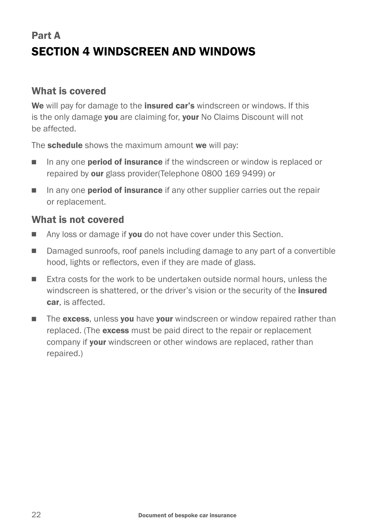# Part A SECTION 4 WINDSCREEN AND WINDOWS

#### What is covered

We will pay for damage to the insured car's windscreen or windows. If this is the only damage you are claiming for, your No Claims Discount will not be affected.

The **schedule** shows the maximum amount we will pay:

- In any one **period of insurance** if the windscreen or window is replaced or repaired by our glass provider(Telephone 0800 169 9499) or
- In any one **period of insurance** if any other supplier carries out the repair or replacement.

#### What is not covered

- Any loss or damage if **you** do not have cover under this Section.
- Damaged sunroofs, roof panels including damage to any part of a convertible hood, lights or reflectors, even if they are made of glass.
- <sup>n</sup> Extra costs for the work to be undertaken outside normal hours, unless the windscreen is shattered, or the driver's vision or the security of the **insured** car, is affected.
- The excess, unless you have your windscreen or window repaired rather than replaced. (The excess must be paid direct to the repair or replacement company if your windscreen or other windows are replaced, rather than repaired.)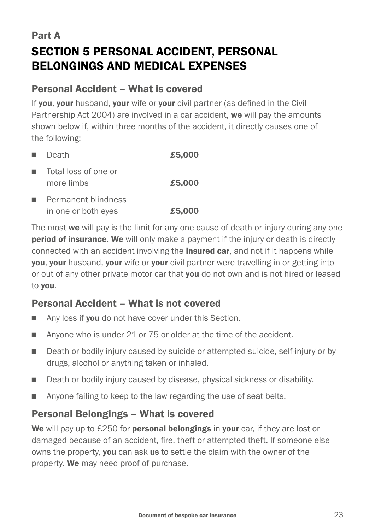# Part A SECTION 5 PERSONAL ACCIDENT, PERSONAL BELONGINGS AND MEDICAL EXPENSES

#### Personal Accident – What is covered

If vou, vour husband, vour wife or vour civil partner (as defined in the Civil Partnership Act 2004) are involved in a car accident, we will pay the amounts shown below if, within three months of the accident, it directly causes one of the following:

| a.                                                                                                                                                                                                                                   | Death                                      | £5,000 |
|--------------------------------------------------------------------------------------------------------------------------------------------------------------------------------------------------------------------------------------|--------------------------------------------|--------|
| <b>The Contract of the Contract of the Contract of the Contract of the Contract of the Contract of the Contract of the Contract of the Contract of the Contract of the Contract of the Contract of the Contract of the Contract </b> | Total loss of one or<br>more limbs         | £5,000 |
| <b>In</b>                                                                                                                                                                                                                            | Permanent blindness<br>in one or both eyes | £5,000 |

The most we will pay is the limit for any one cause of death or injury during any one **period of insurance. We** will only make a payment if the injury or death is directly connected with an accident involving the **insured car**, and not if it happens while **you, your** husband, **your** wife or **your** civil partner were travelling in or getting into or out of any other private motor car that **you** do not own and is not hired or leased to you.

#### Personal Accident – What is not covered

- Any loss if you do not have cover under this Section.
- Anyone who is under 21 or  $75$  or older at the time of the accident.
- Death or bodily injury caused by suicide or attempted suicide, self-injury or by drugs, alcohol or anything taken or inhaled.
- **n** Death or bodily injury caused by disease, physical sickness or disability.
- **n** Anyone failing to keep to the law regarding the use of seat belts.

#### Personal Belongings – What is covered

We will pay up to £250 for **personal belongings** in your car, if they are lost or damaged because of an accident, fire, theft or attempted theft. If someone else owns the property, you can ask us to settle the claim with the owner of the property. We may need proof of purchase.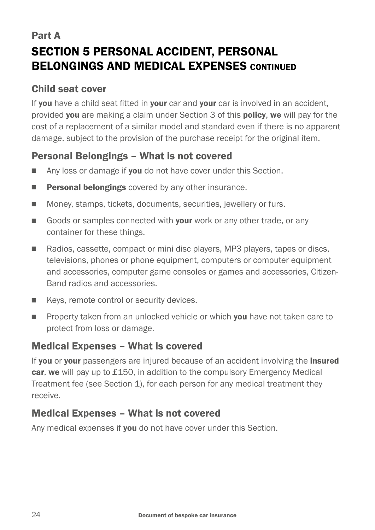# Part A SECTION 5 PERSONAL ACCIDENT, PERSONAL BELONGINGS AND MEDICAL EXPENSES CONTINUED

### Child seat cover

If you have a child seat fitted in your car and your car is involved in an accident, provided you are making a claim under Section 3 of this policy, we will pay for the cost of a replacement of a similar model and standard even if there is no apparent damage, subject to the provision of the purchase receipt for the original item.

### Personal Belongings – What is not covered

- Any loss or damage if you do not have cover under this Section.
- $\blacksquare$  Personal belongings covered by any other insurance.
- Money, stamps, tickets, documents, securities, jewellery or furs.
- Goods or samples connected with your work or any other trade, or any container for these things.
- n Radios, cassette, compact or mini disc players, MP3 players, tapes or discs, televisions, phones or phone equipment, computers or computer equipment and accessories, computer game consoles or games and accessories, Citizen-Band radios and accessories.
- Keys, remote control or security devices.
- **Property taken from an unlocked vehicle or which you have not taken care to** protect from loss or damage.

### Medical Expenses – What is covered

If you or your passengers are injured because of an accident involving the insured car, we will pay up to £150, in addition to the compulsory Emergency Medical Treatment fee (see Section 1), for each person for any medical treatment they receive.

#### Medical Expenses – What is not covered

Any medical expenses if you do not have cover under this Section.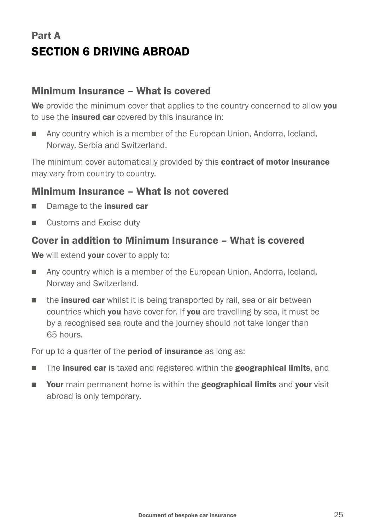# Part A SECTION 6 DRIVING ABROAD

#### Minimum Insurance – What is covered

We provide the minimum cover that applies to the country concerned to allow you to use the **insured car** covered by this insurance in:

■ Any country which is a member of the European Union, Andorra, Iceland, Norway, Serbia and Switzerland.

The minimum cover automatically provided by this **contract of motor insurance** may vary from country to country.

#### Minimum Insurance – What is not covered

- Damage to the insured car
- Customs and Excise duty

#### Cover in addition to Minimum Insurance – What is covered

We will extend your cover to apply to:

- **n** Any country which is a member of the European Union, Andorra, Iceland, Norway and Switzerland.
- $\blacksquare$  the **insured car** whilst it is being transported by rail, sea or air between countries which you have cover for. If you are travelling by sea, it must be by a recognised sea route and the journey should not take longer than 65 hours.

For up to a quarter of the **period of insurance** as long as:

- **n** The insured car is taxed and registered within the geographical limits, and
- **n** Your main permanent home is within the **geographical limits** and your visit abroad is only temporary.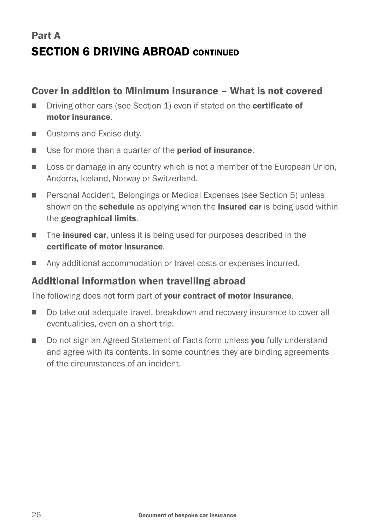# Part A SECTION 6 DRIVING ABROAD CONTINUED

#### Cover in addition to Minimum Insurance – What is not covered

- Driving other cars (see Section 1) even if stated on the certificate of motor insurance.
- Customs and Excise duty.
- Use for more than a quarter of the **period of insurance**.
- **n** Loss or damage in any country which is not a member of the European Union, Andorra, Iceland, Norway or Switzerland.
- Personal Accident, Belongings or Medical Expenses (see Section 5) unless shown on the **schedule** as applying when the **insured car** is being used within the geographical limits.
- $\blacksquare$  The **insured car**, unless it is being used for purposes described in the certificate of motor insurance.
- Any additional accommodation or travel costs or expenses incurred.

#### Additional information when travelling abroad

The following does not form part of **your contract of motor insurance**.

- $\Box$  Do take out adequate travel, breakdown and recovery insurance to cover all eventualities, even on a short trip.
- Do not sign an Agreed Statement of Facts form unless vou fully understand and agree with its contents. In some countries they are binding agreements of the circumstances of an incident.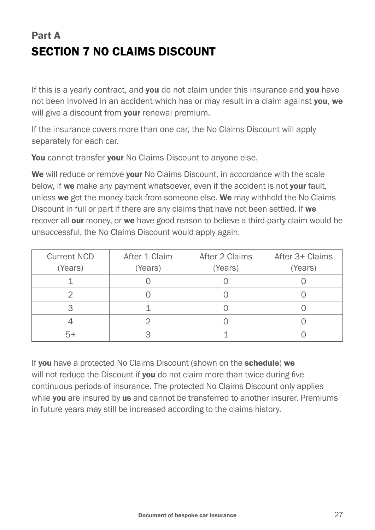# Part A SECTION 7 NO CLAIMS DISCOUNT

If this is a yearly contract, and you do not claim under this insurance and you have not been involved in an accident which has or may result in a claim against you, we will give a discount from **your** renewal premium.

If the insurance covers more than one car, the No Claims Discount will apply separately for each car.

You cannot transfer your No Claims Discount to anyone else.

We will reduce or remove vour No Claims Discount, in accordance with the scale below, if we make any payment whatsoever, even if the accident is not your fault, unless we get the money back from someone else. We may withhold the No Claims Discount in full or part if there are any claims that have not been settled. If we recover all our money, or we have good reason to believe a third-party claim would be unsuccessful, the No Claims Discount would apply again.

| <b>Current NCD</b> | After 1 Claim | After 2 Claims | After 3+ Claims |
|--------------------|---------------|----------------|-----------------|
| (Years)            | (Years)       | (Years)        | (Years)         |
|                    |               |                |                 |
|                    |               |                |                 |
|                    |               |                |                 |
|                    |               |                |                 |
|                    |               |                |                 |

If you have a protected No Claims Discount (shown on the schedule) we will not reduce the Discount if you do not claim more than twice during five continuous periods of insurance. The protected No Claims Discount only applies while you are insured by us and cannot be transferred to another insurer. Premiums in future years may still be increased according to the claims history.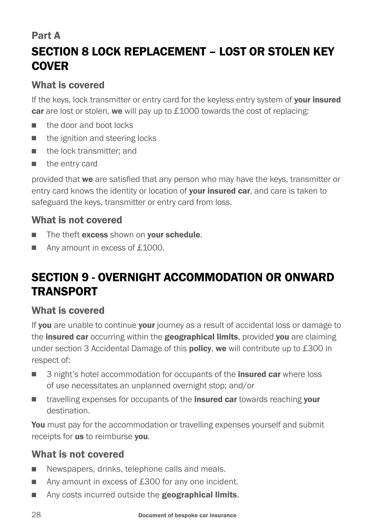### Part A

# SECTION 8 LOCK REPLACEMENT – LOST OR STOLEN KEY **COVER**

### What is covered

If the keys, lock transmitter or entry card for the keyless entry system of your insured car are lost or stolen, we will pay up to £1000 towards the cost of replacing:

- n the door and boot locks
- $\blacksquare$  the ignition and steering locks
- $\blacksquare$  the lock transmitter; and
- $\blacksquare$  the entry card

provided that we are satisfied that any person who may have the keys, transmitter or entry card knows the identity or location of your insured car, and care is taken to safeguard the keys, transmitter or entry card from loss.

### What is not covered

- The theft excess shown on your schedule.
- Any amount in excess of £1000.

# SECTION 9 - OVERNIGHT ACCOMMODATION OR ONWARD **TRANSPORT**

### What is covered

If you are unable to continue your journey as a result of accidental loss or damage to the **insured car** occurring within the **geographical limits**, provided you are claiming under section 3 Accidental Damage of this **policy, we** will contribute up to £300 in respect of:

- 3 night's hotel accommodation for occupants of the **insured car** where loss of use necessitates an unplanned overnight stop; and/or
- n travelling expenses for occupants of the **insured car** towards reaching your destination.

You must pay for the accommodation or travelling expenses yourself and submit receipts for us to reimburse vou.

### What is not covered

- Newspapers, drinks, telephone calls and meals.
- Any amount in excess of £300 for any one incident.
- Any costs incurred outside the **geographical limits**.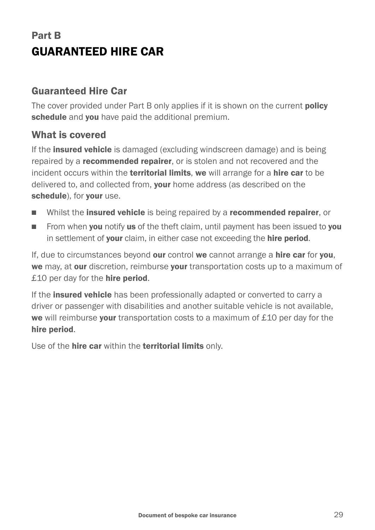# Part B GUARANTEED HIRE CAR

#### Guaranteed Hire Car

The cover provided under Part B only applies if it is shown on the current **policy** schedule and you have paid the additional premium.

#### What is covered

If the **insured vehicle** is damaged (excluding windscreen damage) and is being repaired by a **recommended repairer**, or is stolen and not recovered and the incident occurs within the territorial limits, we will arrange for a hire car to be delivered to, and collected from, your home address (as described on the schedule), for your use.

- **Net Whilst the insured vehicle** is being repaired by a **recommended repairer**, or
- From when you notify us of the theft claim, until payment has been issued to you in settlement of your claim, in either case not exceeding the hire period.

If, due to circumstances beyond our control we cannot arrange a hire car for you, we may, at our discretion, reimburse your transportation costs up to a maximum of  $£10$  per day for the **hire period**.

If the **insured vehicle** has been professionally adapted or converted to carry a driver or passenger with disabilities and another suitable vehicle is not available, we will reimburse your transportation costs to a maximum of £10 per day for the hire period.

Use of the hire car within the territorial limits only.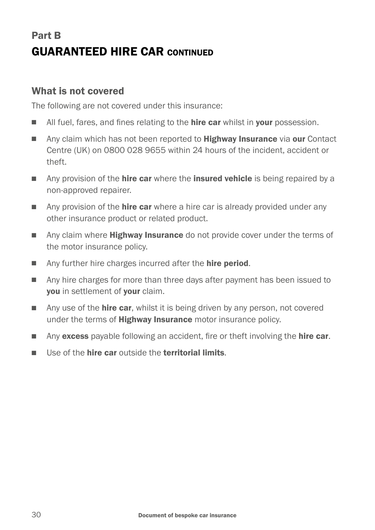# Part B GUARANTEED HIRE CAR CONTINUED

#### What is not covered

The following are not covered under this insurance:

- I All fuel, fares, and fines relating to the **hire car** whilst in **your** possession.
- n Any claim which has not been reported to **Highway Insurance** via **our** Contact Centre (UK) on 0800 028 9655 within 24 hours of the incident, accident or theft.
- Any provision of the **hire car** where the **insured vehicle** is being repaired by a non-approved repairer.
- $\Box$  Any provision of the **hire car** where a hire car is already provided under any other insurance product or related product.
- n Any claim where **Highway Insurance** do not provide cover under the terms of the motor insurance policy.
- Any further hire charges incurred after the **hire period.**
- n Any hire charges for more than three days after payment has been issued to you in settlement of your claim.
- **n** Any use of the **hire car**, whilst it is being driven by any person, not covered under the terms of **Highway Insurance** motor insurance policy.
- **n** Any excess payable following an accident, fire or theft involving the **hire car**.
- **n** Use of the **hire car** outside the **territorial limits**.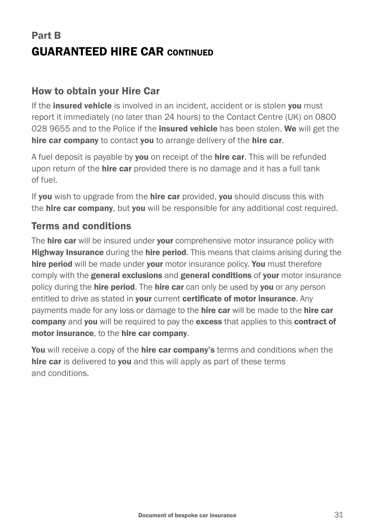# Part B GUARANTEED HIRE CAR CONTINUED

#### How to obtain your Hire Car

If the *insured vehicle* is involved in an incident, accident or is stolen you must report it immediately (no later than 24 hours) to the Contact Centre (UK) on 0800 028 9655 and to the Police if the insured vehicle has been stolen. We will get the hire car company to contact you to arrange delivery of the hire car.

A fuel deposit is payable by **you** on receipt of the **hire car**. This will be refunded upon return of the **hire car** provided there is no damage and it has a full tank of fuel.

If you wish to upgrade from the hire car provided, you should discuss this with the **hire car company**, but **you** will be responsible for any additional cost required.

### Terms and conditions

The **hire car** will be insured under **your** comprehensive motor insurance policy with **Highway Insurance** during the **hire period.** This means that claims arising during the hire period will be made under your motor insurance policy. You must therefore comply with the **general exclusions** and **general conditions** of your motor insurance policy during the **hire period.** The **hire car** can only be used by **you** or any person entitled to drive as stated in your current certificate of motor insurance. Any payments made for any loss or damage to the **hire car** will be made to the **hire car** company and you will be required to pay the excess that applies to this contract of motor insurance, to the hire car company.

You will receive a copy of the hire car company's terms and conditions when the hire car is delivered to you and this will apply as part of these terms and conditions.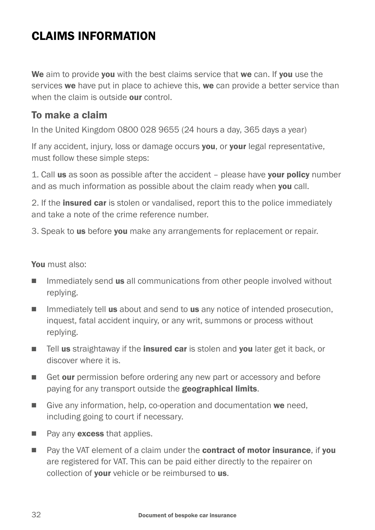# CLAIMS INFORMATION

We aim to provide you with the best claims service that we can. If you use the services we have put in place to achieve this, we can provide a better service than when the claim is outside **our** control.

#### To make a claim

In the United Kingdom 0800 028 9655 (24 hours a day, 365 days a year)

If any accident, injury, loss or damage occurs you, or your legal representative, must follow these simple steps:

1. Call us as soon as possible after the accident – please have your policy number and as much information as possible about the claim ready when **vou** call.

2. If the **insured car** is stolen or vandalised, report this to the police immediately and take a note of the crime reference number.

3. Speak to us before you make any arrangements for replacement or repair.

#### You must also:

- **n** Immediately send **us** all communications from other people involved without replying.
- $\Box$  Immediately tell us about and send to us any notice of intended prosecution, inquest, fatal accident inquiry, or any writ, summons or process without replying.
- **n** Tell us straightaway if the **insured car** is stolen and you later get it back, or discover where it is.
- Get our permission before ordering any new part or accessory and before paying for any transport outside the geographical limits.
- Give any information, help, co-operation and documentation we need. including going to court if necessary.
- $\blacksquare$  Pay any **excess** that applies.
- n Pay the VAT element of a claim under the contract of motor insurance, if you are registered for VAT. This can be paid either directly to the repairer on collection of your vehicle or be reimbursed to us.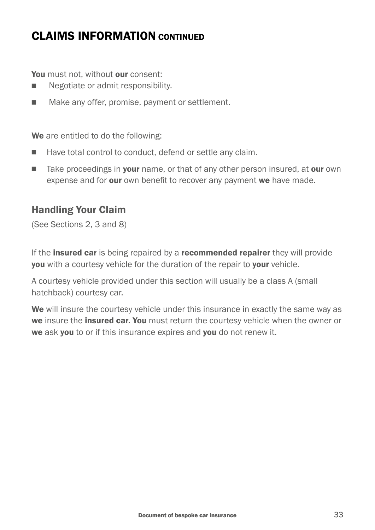### CLAIMS INFORMATION CONTINUED

You must not, without our consent:

- Negotiate or admit responsibility.
- Make any offer, promise, payment or settlement.

We are entitled to do the following:

- Have total control to conduct, defend or settle any claim.
- Take proceedings in **your** name, or that of any other person insured, at **our** own expense and for our own benefit to recover any payment we have made.

#### Handling Your Claim

(See Sections 2, 3 and 8)

If the **insured car** is being repaired by a **recommended repairer** they will provide **you** with a courtesy vehicle for the duration of the repair to **your** vehicle.

A courtesy vehicle provided under this section will usually be a class A (small hatchback) courtesy car.

We will insure the courtesy vehicle under this insurance in exactly the same way as we insure the *insured car. You* must return the courtesy vehicle when the owner or we ask you to or if this insurance expires and you do not renew it.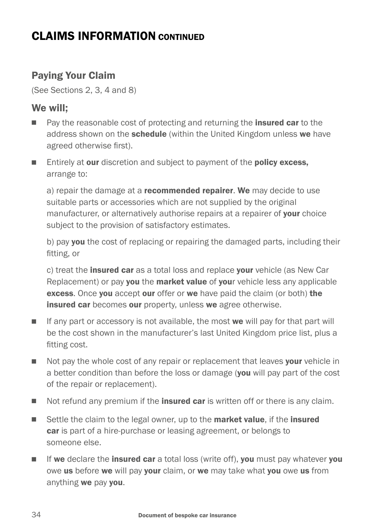### CLAIMS INFORMATION CONTINUED

### Paying Your Claim

(See Sections 2, 3, 4 and 8)

#### We will;

- n Pay the reasonable cost of protecting and returning the **insured car** to the address shown on the **schedule** (within the United Kingdom unless we have agreed otherwise first).
- Entirely at our discretion and subject to payment of the **policy excess,** arrange to:

a) repair the damage at a **recommended repairer. We** may decide to use suitable parts or accessories which are not supplied by the original manufacturer, or alternatively authorise repairs at a repairer of your choice subject to the provision of satisfactory estimates.

b) pay you the cost of replacing or repairing the damaged parts, including their fitting, or

c) treat the *insured car* as a total loss and replace your vehicle (as New Car Replacement) or pay **you** the **market value** of **your** vehicle less any applicable excess. Once you accept our offer or we have paid the claim (or both) the insured car becomes our property, unless we agree otherwise.

- $\blacksquare$  If any part or accessory is not available, the most we will pay for that part will be the cost shown in the manufacturer's last United Kingdom price list, plus a fitting cost.
- Not pay the whole cost of any repair or replacement that leaves your vehicle in a better condition than before the loss or damage (you will pay part of the cost of the repair or replacement).
- Not refund any premium if the **insured car** is written off or there is any claim.
- Settle the claim to the legal owner, up to the **market value**, if the **insured** car is part of a hire-purchase or leasing agreement, or belongs to someone else.
- $\blacksquare$  If we declare the insured car a total loss (write off), you must pay whatever you owe us before we will pay your claim, or we may take what you owe us from anything we pay you.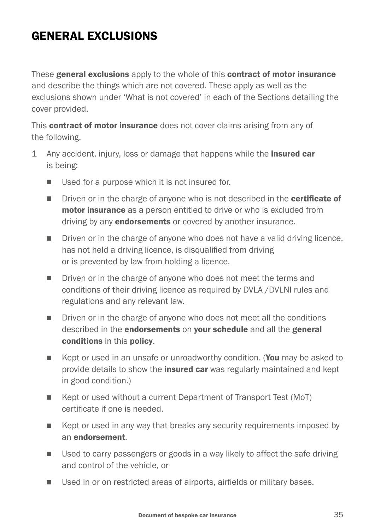# **GENERAL EXCLUSIONS**

These general exclusions apply to the whole of this contract of motor insurance and describe the things which are not covered. These apply as well as the exclusions shown under 'What is not covered' in each of the Sections detailing the cover provided.

This **contract of motor insurance** does not cover claims arising from any of the following.

- 1 Any accident, injury, loss or damage that happens while the **insured car** is being:
	- $\blacksquare$  Used for a purpose which it is not insured for.
	- Driven or in the charge of anyone who is not described in the certificate of motor insurance as a person entitled to drive or who is excluded from driving by any **endorsements** or covered by another insurance.
	- Driven or in the charge of anyone who does not have a valid driving licence, has not held a driving licence, is disqualified from driving or is prevented by law from holding a licence.
	- Driven or in the charge of anyone who does not meet the terms and conditions of their driving licence as required by DVLA /DVLNI rules and regulations and any relevant law.
	- Driven or in the charge of anyone who does not meet all the conditions described in the endorsements on your schedule and all the general conditions in this policy.
	- Kept or used in an unsafe or unroadworthy condition. (You may be asked to provide details to show the **insured car** was regularly maintained and kept in good condition.)
	- Kept or used without a current Department of Transport Test (MoT) certificate if one is needed.
	- Kept or used in any way that breaks any security requirements imposed by an endorsement.
	- **n** Used to carry passengers or goods in a way likely to affect the safe driving and control of the vehicle, or
	- Used in or on restricted areas of airports, airfields or military bases.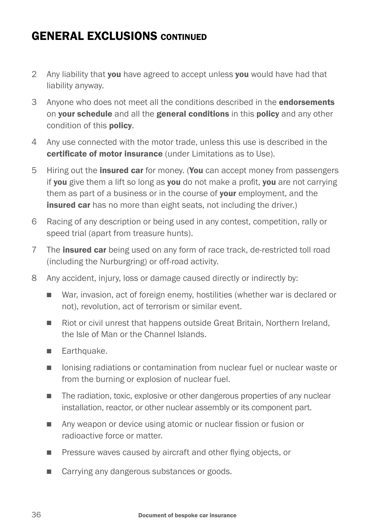### **GENERAL EXCLUSIONS CONTINUED**

- 2 Any liability that you have agreed to accept unless you would have had that liability anyway.
- 3 Anyone who does not meet all the conditions described in the **endorsements** on your schedule and all the general conditions in this policy and any other condition of this policy.
- 4 Any use connected with the motor trade, unless this use is described in the certificate of motor insurance (under Limitations as to Use).
- 5 Hiring out the **insured car** for money. (You can accept money from passengers if you give them a lift so long as you do not make a profit, you are not carrying them as part of a business or in the course of your employment, and the insured car has no more than eight seats, not including the driver.)
- 6 Racing of any description or being used in any contest, competition, rally or speed trial (apart from treasure hunts).
- 7 The **insured car** being used on any form of race track, de-restricted toll road (including the Nurburgring) or off-road activity.
- 8 Any accident, injury, loss or damage caused directly or indirectly by:
	- War, invasion, act of foreign enemy, hostilities (whether war is declared or not), revolution, act of terrorism or similar event.
	- Riot or civil unrest that happens outside Great Britain, Northern Ireland, the Isle of Man or the Channel Islands.
	- **Earthquake.**
	- **n** Ionising radiations or contamination from nuclear fuel or nuclear waste or from the burning or explosion of nuclear fuel.
	- $\blacksquare$  The radiation, toxic, explosive or other dangerous properties of any nuclear installation, reactor, or other nuclear assembly or its component part.
	- Any weapon or device using atomic or nuclear fission or fusion or radioactive force or matter.
	- **n** Pressure waves caused by aircraft and other flying objects, or
	- Carrying any dangerous substances or goods.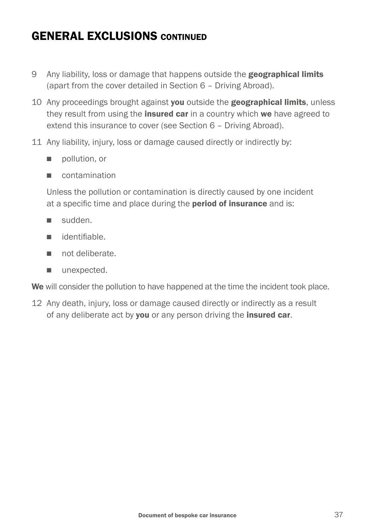### **GENERAL EXCLUSIONS CONTINUED**

- 9 Any liability, loss or damage that happens outside the **geographical limits** (apart from the cover detailed in Section 6 – Driving Abroad).
- 10 Any proceedings brought against you outside the geographical limits, unless they result from using the *insured car* in a country which we have agreed to extend this insurance to cover (see Section 6 – Driving Abroad).
- 11 Any liability, injury, loss or damage caused directly or indirectly by:
	- n pollution, or
	- n contamination

 Unless the pollution or contamination is directly caused by one incident at a specific time and place during the **period of insurance** and is:

- <sup>n</sup> sudden.
- n identifiable
- not deliberate
- $\blacksquare$  unexpected.

We will consider the pollution to have happened at the time the incident took place.

12 Any death, injury, loss or damage caused directly or indirectly as a result of any deliberate act by you or any person driving the insured car.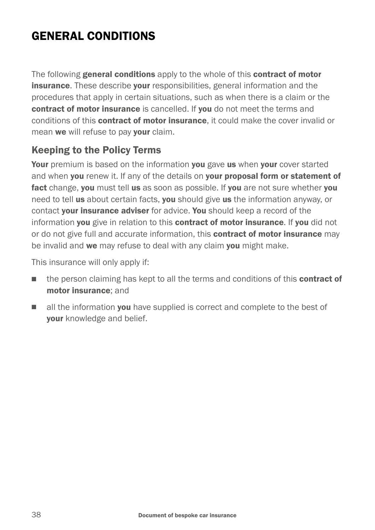# GENERAL CONDITIONS

The following general conditions apply to the whole of this contract of motor **insurance.** These describe your responsibilities, general information and the procedures that apply in certain situations, such as when there is a claim or the contract of motor insurance is cancelled. If you do not meet the terms and conditions of this contract of motor insurance, it could make the cover invalid or mean we will refuse to pay your claim.

### Keeping to the Policy Terms

Your premium is based on the information you gave us when your cover started and when you renew it. If any of the details on your proposal form or statement of fact change, you must tell us as soon as possible. If you are not sure whether you need to tell us about certain facts, you should give us the information anyway, or contact your insurance adviser for advice. You should keep a record of the information you give in relation to this contract of motor insurance. If you did not or do not give full and accurate information, this **contract of motor insurance** may be invalid and we may refuse to deal with any claim you might make.

This insurance will only apply if:

- n the person claiming has kept to all the terms and conditions of this **contract of** motor insurance; and
- $\blacksquare$  all the information **vou** have supplied is correct and complete to the best of your knowledge and belief.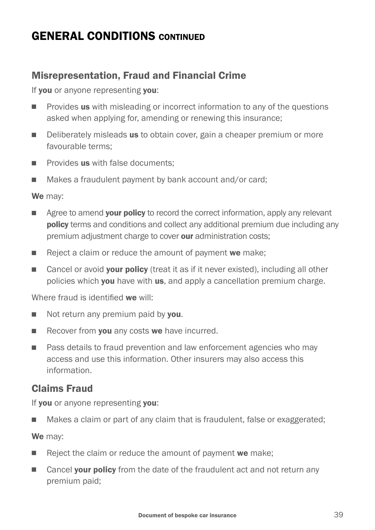### GENERAL CONDITIONS CONTINUED

### Misrepresentation, Fraud and Financial Crime

If **vou** or anyone representing vou:

- **n** Provides **us** with misleading or incorrect information to any of the questions asked when applying for, amending or renewing this insurance;
- Deliberately misleads us to obtain cover, gain a cheaper premium or more favourable terms;
- $\blacksquare$  Provides us with false documents:
- Makes a fraudulent payment by bank account and/or card;

We may:

- Agree to amend **your policy** to record the correct information, apply any relevant policy terms and conditions and collect any additional premium due including any premium adjustment charge to cover our administration costs;
- $\blacksquare$  Reject a claim or reduce the amount of payment we make;
- Cancel or avoid **your policy** (treat it as if it never existed), including all other policies which you have with us, and apply a cancellation premium charge.

Where fraud is identified we will:

- $\blacksquare$  Not return any premium paid by **you**.
- $\blacksquare$  Recover from you any costs we have incurred.
- Pass details to fraud prevention and law enforcement agencies who may access and use this information. Other insurers may also access this information.

### Claims Fraud

If you or anyone representing you:

■ Makes a claim or part of any claim that is fraudulent, false or exaggerated;

We may:

- $\blacksquare$  Reject the claim or reduce the amount of payment we make;
- Cancel your policy from the date of the fraudulent act and not return any premium paid;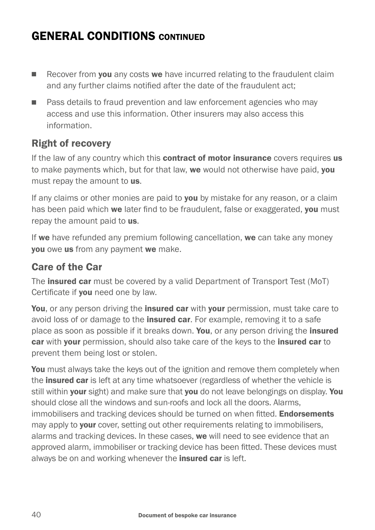# GENERAL CONDITIONS CONTINUED

- $\blacksquare$  Recover from **vou** any costs we have incurred relating to the fraudulent claim and any further claims notified after the date of the fraudulent act;
- **n** Pass details to fraud prevention and law enforcement agencies who may access and use this information. Other insurers may also access this information.

#### Right of recovery

If the law of any country which this **contract of motor insurance** covers requires us to make payments which, but for that law, we would not otherwise have paid, vou must repay the amount to us.

If any claims or other monies are paid to you by mistake for any reason, or a claim has been paid which we later find to be fraudulent, false or exaggerated, you must repay the amount paid to us.

If we have refunded any premium following cancellation, we can take any money you owe us from any payment we make.

#### Care of the Car

The **insured car** must be covered by a valid Department of Transport Test (MoT) Certificate if **vou** need one by law.

You, or any person driving the insured car with your permission, must take care to avoid loss of or damage to the insured car. For example, removing it to a safe place as soon as possible if it breaks down. You, or any person driving the insured car with your permission, should also take care of the keys to the insured car to prevent them being lost or stolen.

You must always take the keys out of the ignition and remove them completely when the insured car is left at any time whatsoever (regardless of whether the vehicle is still within your sight) and make sure that you do not leave belongings on display. You should close all the windows and sun-roofs and lock all the doors. Alarms, immobilisers and tracking devices should be turned on when fitted. **Endorsements** may apply to **your** cover, setting out other requirements relating to immobilisers, alarms and tracking devices. In these cases, we will need to see evidence that an approved alarm, immobiliser or tracking device has been fitted. These devices must always be on and working whenever the *insured car* is left.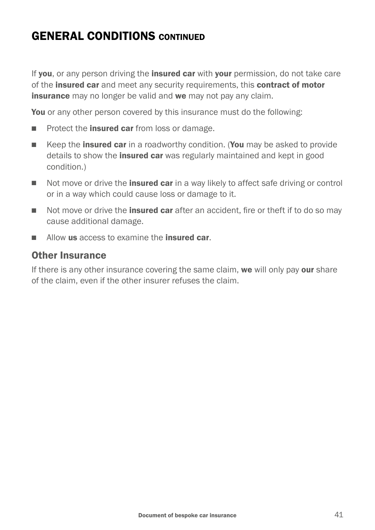# GENERAL CONDITIONS CONTINUED

If you, or any person driving the insured car with your permission, do not take care of the **insured car** and meet any security requirements, this **contract of motor** insurance may no longer be valid and we may not pay any claim.

You or any other person covered by this insurance must do the following:

- Protect the **insured car** from loss or damage.
- Keep the **insured car** in a roadworthy condition. (You may be asked to provide details to show the **insured car** was regularly maintained and kept in good condition.)
- Not move or drive the **insured car** in a way likely to affect safe driving or control or in a way which could cause loss or damage to it.
- $\blacksquare$  Not move or drive the **insured car** after an accident, fire or theft if to do so may cause additional damage.
- Allow us access to examine the **insured car**

#### Other Insurance

If there is any other insurance covering the same claim, we will only pay our share of the claim, even if the other insurer refuses the claim.